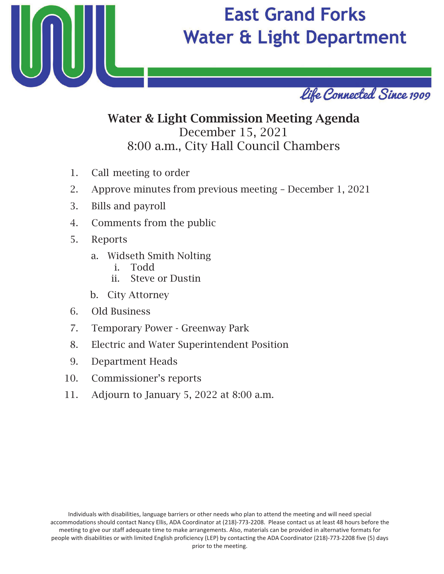

# **East Grand Forks Water & Light Department**



## Water & Light Commission Meeting Agenda December 15, 2021 8:00 a.m., City Hall Council Chambers

- 1. Call meeting to order
- 2. Approve minutes from previous meeting December 1, 2021
- 3. Bills and payroll
- 4. Comments from the public
- 5. Reports
	- a. Widseth Smith Nolting
		- i. Todd
		- ii. Steve or Dustin
	- b. City Attorney
- 6. Old Business
- 7. Temporary Power Greenway Park
- 8. Electric and Water Superintendent Position
- 9. Department Heads
- 10. Commissioner's reports
- 11. Adjourn to January 5, 2022 at 8:00 a.m.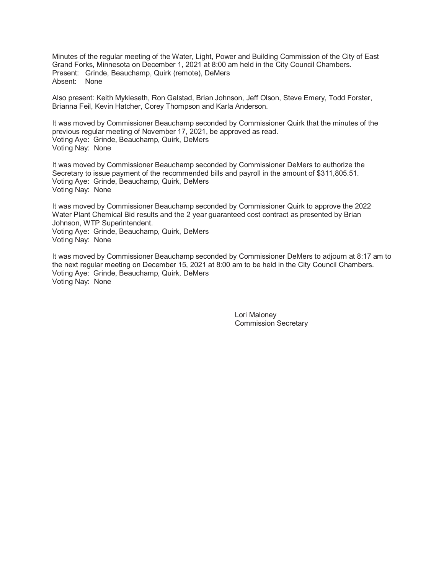Minutes of the regular meeting of the Water, Light, Power and Building Commission of the City of East Grand Forks. Minnesota on December 1, 2021 at 8:00 am held in the City Council Chambers. Present: Grinde, Beauchamp, Quirk (remote), DeMers Absent: None

Also present: Keith Mykleseth, Ron Galstad, Brian Johnson, Jeff Olson, Steve Emery, Todd Forster, Brianna Feil, Kevin Hatcher, Corey Thompson and Karla Anderson.

It was moved by Commissioner Beauchamp seconded by Commissioner Quirk that the minutes of the previous regular meeting of November 17, 2021, be approved as read. Voting Aye: Grinde, Beauchamp, Quirk, DeMers Voting Nay: None

It was moved by Commissioner Beauchamp seconded by Commissioner DeMers to authorize the Secretary to issue payment of the recommended bills and payroll in the amount of \$311,805.51. Voting Aye: Grinde, Beauchamp, Quirk, DeMers Voting Nay: None

It was moved by Commissioner Beauchamp seconded by Commissioner Quirk to approve the 2022 Water Plant Chemical Bid results and the 2 year guaranteed cost contract as presented by Brian Johnson, WTP Superintendent.

Voting Aye: Grinde, Beauchamp, Quirk, DeMers Voting Nay: None

It was moved by Commissioner Beauchamp seconded by Commissioner DeMers to adjourn at 8:17 am to the next regular meeting on December 15, 2021 at 8:00 am to be held in the City Council Chambers. Voting Ave: Grinde, Beauchamp, Quirk, DeMers Voting Nay: None

> Lori Maloney **Commission Secretary**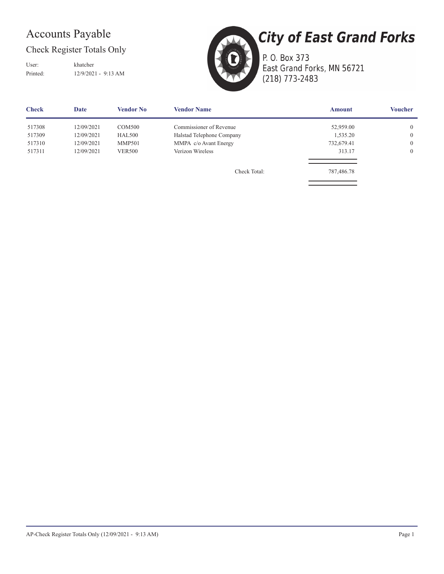## **Accounts Payable**

Check Register Totals Only

User: Printed:

khatcher 12/9/2021 - 9:13 AM



P. O. Box 373 East Grand Forks, MN 56721 (218) 773-2483

| <b>Check</b> | Date       | Vendor No     | <b>Vendor Name</b>        | <b>Amount</b> | <b>Voucher</b> |
|--------------|------------|---------------|---------------------------|---------------|----------------|
| 517308       | 12/09/2021 | <b>COM500</b> | Commissioner of Revenue   | 52,959.00     | $\overline{0}$ |
| 517309       | 12/09/2021 | <b>HAL500</b> | Halstad Telephone Company | 1,535.20      | $\overline{0}$ |
| 517310       | 12/09/2021 | <b>MMP501</b> | MMPA c/o Avant Energy     | 732,679.41    | $\mathbf{0}$   |
| 517311       | 12/09/2021 | <b>VER500</b> | Verizon Wireless          | 313.17        | $\mathbf{0}$   |
|              |            |               | Check Total:              | 787,486.78    |                |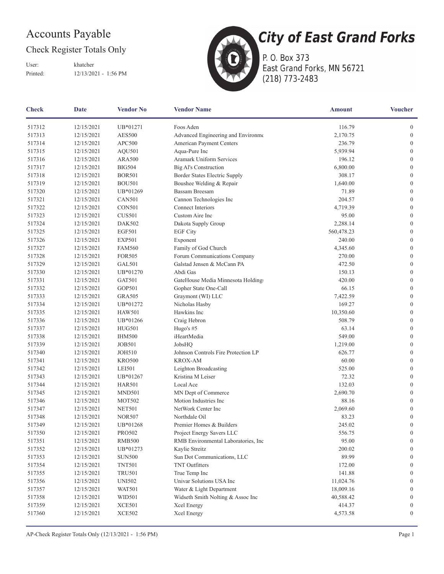## Accounts Payable

### Check Register Totals Only

User: Printed:

khatcher 12/13/2021 - 1:56 PM



**City of East Grand Forks** P. O. Box 373 East Grand Forks, MN 56721

(218) 773-2483

| <b>Check</b> | <b>Date</b><br><b>Vendor No</b><br><b>Vendor Name</b> |               | <b>Amount</b>                        | <b>Voucher</b>               |                  |
|--------------|-------------------------------------------------------|---------------|--------------------------------------|------------------------------|------------------|
| 517312       | 12/15/2021                                            | UB*01271      | Foos Aden                            | 116.79                       | $\boldsymbol{0}$ |
| 517313       | 12/15/2021                                            | <b>AES500</b> | Advanced Engineering and Environme   | 2,170.75<br>$\boldsymbol{0}$ |                  |
| 517314       | 12/15/2021                                            | APC500        | American Payment Centers             | 236.79<br>$\mathbf{0}$       |                  |
| 517315       | 12/15/2021                                            | AQU501        | Aqua-Pure Inc                        | 5,939.94                     | $\boldsymbol{0}$ |
| 517316       | 12/15/2021                                            | <b>ARA500</b> | Aramark Uniform Services             | 196.12                       | $\boldsymbol{0}$ |
| 517317       | 12/15/2021                                            | <b>BIG504</b> | Big Al's Construction                | 6,800.00                     | $\mathbf{0}$     |
| 517318       | 12/15/2021                                            | <b>BOR501</b> | Border States Electric Supply        | 308.17                       | $\mathbf{0}$     |
| 517319       | 12/15/2021                                            | <b>BOU501</b> | Boushee Welding & Repair             | 1,640.00                     | $\boldsymbol{0}$ |
| 517320       | 12/15/2021                                            | UB*01269      | <b>Bassam Breesam</b>                | 71.89                        | $\boldsymbol{0}$ |
| 517321       | 12/15/2021                                            | <b>CAN501</b> | Cannon Technologies Inc              | 204.57                       | $\boldsymbol{0}$ |
| 517322       | 12/15/2021                                            | <b>CON501</b> | Connect Interiors                    | 4,719.39                     | $\boldsymbol{0}$ |
| 517323       | 12/15/2021                                            | <b>CUS501</b> | Custom Aire Inc                      | 95.00                        | $\boldsymbol{0}$ |
| 517324       | 12/15/2021                                            | DAK502        | Dakota Supply Group                  | 2,288.14                     | $\mathbf{0}$     |
| 517325       | 12/15/2021                                            | <b>EGF501</b> | <b>EGF City</b>                      | 560,478.23                   | $\mathbf{0}$     |
| 517326       | 12/15/2021                                            | <b>EXP501</b> | Exponent                             | 240.00                       | $\mathbf{0}$     |
| 517327       | 12/15/2021                                            | <b>FAM560</b> | Family of God Church                 | 4,345.60                     | $\boldsymbol{0}$ |
| 517328       | 12/15/2021                                            | <b>FOR505</b> | Forum Communications Company         | 270.00                       | $\boldsymbol{0}$ |
| 517329       | 12/15/2021                                            | GAL501        | Galstad Jensen & McCann PA           | 472.50                       | $\boldsymbol{0}$ |
| 517330       | 12/15/2021                                            | UB*01270      | Abdi Gas                             | 150.13                       | $\mathbf{0}$     |
| 517331       | 12/15/2021                                            | GAT501        | GateHouse Media Minnesota Holdings   | 420.00                       | $\boldsymbol{0}$ |
| 517332       | 12/15/2021                                            | GOP501        | Gopher State One-Call                | 66.15                        | $\boldsymbol{0}$ |
| 517333       | 12/15/2021                                            | <b>GRA505</b> | Graymont (WI) LLC                    | 7,422.59                     | $\boldsymbol{0}$ |
| 517334       | 12/15/2021                                            | UB*01272      | Nicholas Hasby                       | 169.27                       | $\boldsymbol{0}$ |
| 517335       | 12/15/2021                                            | <b>HAW501</b> | Hawkins Inc                          | 10,350.60                    | $\boldsymbol{0}$ |
| 517336       | 12/15/2021                                            | UB*01266      | Craig Hebron                         | 508.79                       | $\boldsymbol{0}$ |
| 517337       | 12/15/2021                                            | HUG501        | Hugo's $#5$                          | 63.14                        | $\mathbf{0}$     |
| 517338       | 12/15/2021                                            | <b>IHM500</b> | iHeartMedia                          | 549.00                       | $\mathbf{0}$     |
| 517339       | 12/15/2021                                            | <b>JOB501</b> | JobsHQ                               | 1,219.00                     | $\mathbf{0}$     |
| 517340       | 12/15/2021                                            | <b>JOH510</b> | Johnson Controls Fire Protection LP  | 626.77                       | $\boldsymbol{0}$ |
| 517341       | 12/15/2021                                            | <b>KRO500</b> | <b>KROX-AM</b>                       | 60.00                        | $\boldsymbol{0}$ |
| 517342       | 12/15/2021                                            | <b>LEI501</b> | Leighton Broadcasting                | 525.00                       | $\boldsymbol{0}$ |
| 517343       | 12/15/2021                                            | UB*01267      | Kristina M Leiser                    | 72.32                        | $\boldsymbol{0}$ |
| 517344       | 12/15/2021                                            | <b>HAR501</b> | Local Ace                            | 132.03                       | $\boldsymbol{0}$ |
| 517345       | 12/15/2021                                            | MND501        | MN Dept of Commerce                  | 2,690.70                     | $\boldsymbol{0}$ |
| 517346       | 12/15/2021                                            | <b>MOT502</b> | Motion Industries Inc                | 88.16                        | $\boldsymbol{0}$ |
| 517347       | 12/15/2021                                            | <b>NET501</b> | NetWork Center Inc                   | 2,069.60                     | $\boldsymbol{0}$ |
| 517348       | 12/15/2021                                            | <b>NOR507</b> | Northdale Oil                        | 83.23                        | $\boldsymbol{0}$ |
| 517349       | 12/15/2021                                            | UB*01268      | Premier Homes & Builders             | 245.02                       | $\boldsymbol{0}$ |
| 517350       | 12/15/2021                                            | PRO502        | Project Energy Savers LLC            | 556.75                       | $\overline{0}$   |
| 517351       | 12/15/2021                                            | <b>RMB500</b> | RMB Environmental Laboratories, Inc. | 95.00                        | $\mathbf{0}$     |
| 517352       | 12/15/2021                                            | UB*01273      | Kaylie Streitz                       | 200.02                       | $\mathbf{0}$     |
| 517353       | 12/15/2021                                            | <b>SUN500</b> | Sun Dot Communications, LLC          | 89.99                        | $\mathbf{0}$     |
| 517354       | 12/15/2021                                            | <b>TNT501</b> | <b>TNT</b> Outfitters                | 172.00                       | $\mathbf{0}$     |
| 517355       | 12/15/2021                                            | <b>TRU501</b> | True Temp Inc                        | 141.88                       | $\mathbf{0}$     |
| 517356       | 12/15/2021                                            | <b>UNI502</b> | Univar Solutions USA Inc             | 11,024.76                    | $\mathbf{0}$     |
| 517357       | 12/15/2021                                            | <b>WAT501</b> | Water & Light Department             | 18,009.16                    | $\mathbf{0}$     |
| 517358       | 12/15/2021                                            | WID501        | Widseth Smith Nolting & Assoc Inc    | 40,588.42                    | $\theta$         |
| 517359       | 12/15/2021                                            | <b>XCE501</b> | Xcel Energy                          | 414.37                       | $\boldsymbol{0}$ |
| 517360       | 12/15/2021                                            | <b>XCE502</b> | Xcel Energy                          | 4,573.58                     | $\mathbf{0}$     |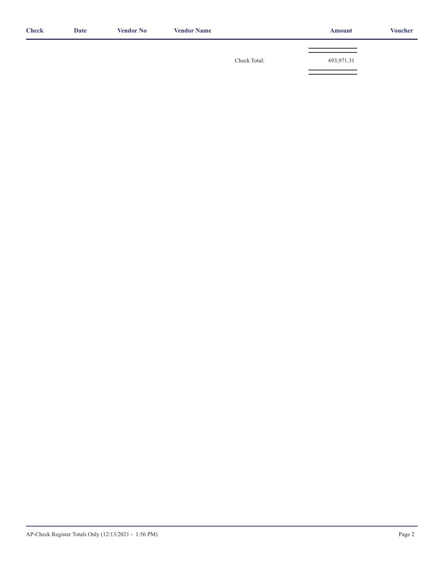| <b>Check</b> | <b>Date</b> | <b>Vendor No</b> | <b>Vendor Name</b> |              | <b>Amount</b> | <b>Voucher</b> |
|--------------|-------------|------------------|--------------------|--------------|---------------|----------------|
|              |             |                  |                    |              |               |                |
|              |             |                  |                    | Check Total: | 693,971.31    |                |
|              |             |                  |                    |              |               |                |
|              |             |                  |                    |              |               |                |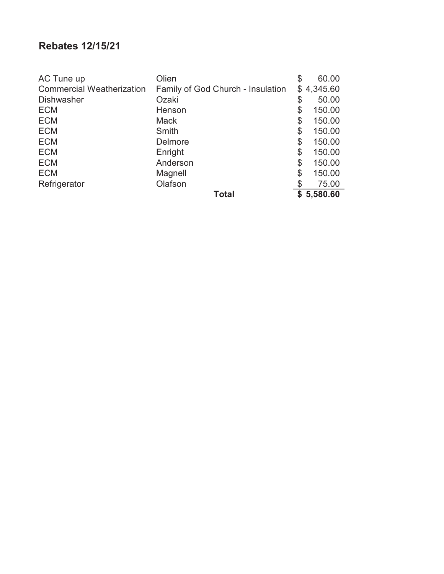### **Rebates 12/15/21**

| AC Tune up                       | Olien                             | \$<br>60.00  |
|----------------------------------|-----------------------------------|--------------|
| <b>Commercial Weatherization</b> | Family of God Church - Insulation | \$4,345.60   |
| <b>Dishwasher</b>                | Ozaki                             | \$<br>50.00  |
| <b>ECM</b>                       | Henson                            | \$<br>150.00 |
| <b>ECM</b>                       | <b>Mack</b>                       | \$<br>150.00 |
| <b>ECM</b>                       | Smith                             | \$<br>150.00 |
| <b>ECM</b>                       | <b>Delmore</b>                    | \$<br>150.00 |
| <b>ECM</b>                       | Enright                           | \$<br>150.00 |
| <b>ECM</b>                       | Anderson                          | \$<br>150.00 |
| <b>ECM</b>                       | Magnell                           | \$<br>150.00 |
| Refrigerator                     | Olafson                           | 75.00        |
|                                  | <b>Total</b>                      | \$5,580.60   |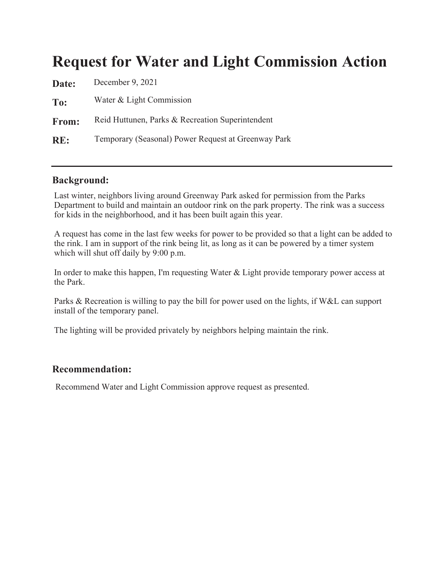## **Request for Water and Light Commission Action**

| Date: | December 9, 2021                                    |
|-------|-----------------------------------------------------|
| To:   | Water & Light Commission                            |
| From: | Reid Huttunen, Parks & Recreation Superintendent    |
| RE:   | Temporary (Seasonal) Power Request at Greenway Park |

### **Background:**

Last winter, neighbors living around Greenway Park asked for permission from the Parks Department to build and maintain an outdoor rink on the park property. The rink was a success for kids in the neighborhood, and it has been built again this year.

A request has come in the last few weeks for power to be provided so that a light can be added to the rink. I am in support of the rink being lit, as long as it can be powered by a timer system which will shut off daily by 9:00 p.m.

In order to make this happen, I'm requesting Water & Light provide temporary power access at the Park.

Parks & Recreation is willing to pay the bill for power used on the lights, if W&L can support install of the temporary panel.

The lighting will be provided privately by neighbors helping maintain the rink.

### Recommendation:

Recommend Water and Light Commission approve request as presented.